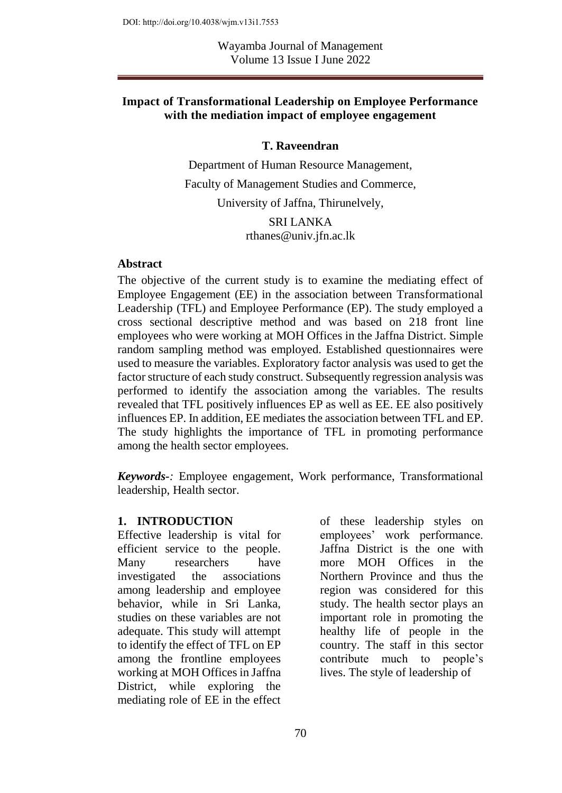Wayamba Journal of Management Volume 13 Issue I June 2022

#### **Impact of Transformational Leadership on Employee Performance with the mediation impact of employee engagement**

#### **T. Raveendran**

Department of Human Resource Management, Faculty of Management Studies and Commerce, University of Jaffna, Thirunelvely,

> SRI LANKA [rthanes@univ.jfn.ac.lk](mailto:rthanes@univ.jfn.ac.lk)

#### **Abstract**

The objective of the current study is to examine the mediating effect of Employee Engagement (EE) in the association between Transformational Leadership (TFL) and Employee Performance (EP). The study employed a cross sectional descriptive method and was based on 218 front line employees who were working at MOH Offices in the Jaffna District. Simple random sampling method was employed. Established questionnaires were used to measure the variables. Exploratory factor analysis was used to get the factor structure of each study construct. Subsequently regression analysis was performed to identify the association among the variables. The results revealed that TFL positively influences EP as well as EE. EE also positively influences EP. In addition, EE mediates the association between TFL and EP. The study highlights the importance of TFL in promoting performance among the health sector employees.

*Keywords-:* Employee engagement, Work performance, Transformational leadership, Health sector.

#### **1. INTRODUCTION**

Effective leadership is vital for efficient service to the people. Many researchers have investigated the associations among leadership and employee behavior, while in Sri Lanka, studies on these variables are not adequate. This study will attempt to identify the effect of TFL on EP among the frontline employees working at MOH Offices in Jaffna District, while exploring the mediating role of EE in the effect

of these leadership styles on employees' work performance. Jaffna District is the one with more MOH Offices in the Northern Province and thus the region was considered for this study. The health sector plays an important role in promoting the healthy life of people in the country. The staff in this sector contribute much to people's lives. The style of leadership of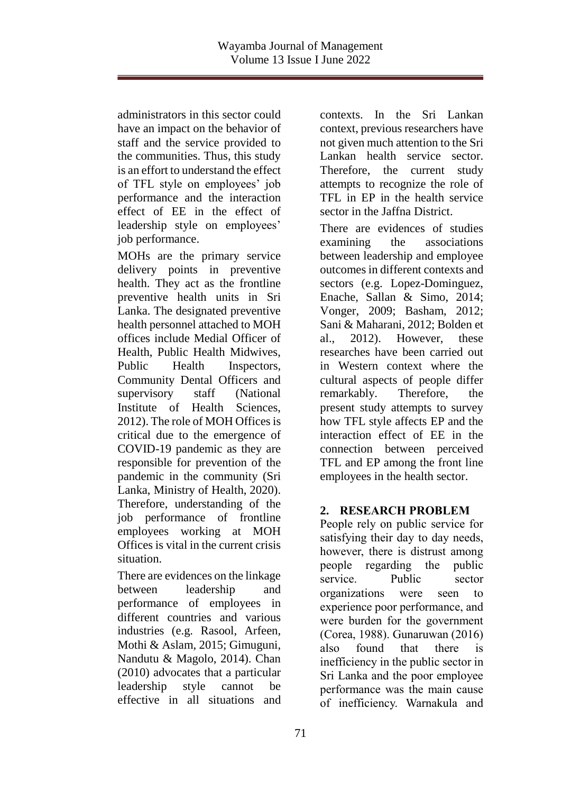administrators in this sector could have an impact on the behavior of staff and the service provided to the communities. Thus, this study is an effort to understand the effect of TFL style on employees' job performance and the interaction effect of EE in the effect of leadership style on employees' job performance.

MOHs are the primary service delivery points in preventive health. They act as the frontline preventive health units in Sri Lanka. The designated preventive health personnel attached to MOH offices include Medial Officer of Health, Public Health Midwives, Public Health Inspectors, Community Dental Officers and supervisory staff (National Institute of Health Sciences 2012). The role of MOH Offices is critical due to the emergence of COVID-19 pandemic as they are responsible for prevention of the pandemic in the community (Sri Lanka, Ministry of Health, 2020). Therefore, understanding of the job performance of frontline employees working at MOH Offices is vital in the current crisis situation.

There are evidences on the linkage between leadership and performance of employees in different countries and various industries (e.g. Rasool, Arfeen, Mothi & Aslam, 2015; Gimuguni, Nandutu & Magolo, 2014). Chan (2010) advocates that a particular leadership style cannot be effective in all situations and

contexts. In the Sri Lankan context, previous researchers have not given much attention to the Sri Lankan health service sector. Therefore, the current study attempts to recognize the role of TFL in EP in the health service sector in the Jaffna District.

There are evidences of studies examining the associations between leadership and employee outcomes in different contexts and sectors (e.g. Lopez-Dominguez, Enache, Sallan & Simo, 2014; Vonger, 2009; Basham, 2012; Sani & Maharani, 2012; Bolden et al., 2012). However, these researches have been carried out in Western context where the cultural aspects of people differ remarkably. Therefore, the present study attempts to survey how TFL style affects EP and the interaction effect of EE in the connection between perceived TFL and EP among the front line employees in the health sector.

### **2. RESEARCH PROBLEM**

People rely on public service for satisfying their day to day needs, however, there is distrust among people regarding the public service. Public sector organizations were seen to experience poor performance, and were burden for the government (Corea, 1988). Gunaruwan (2016) also found that there is inefficiency in the public sector in Sri Lanka and the poor employee performance was the main cause of inefficiency. Warnakula and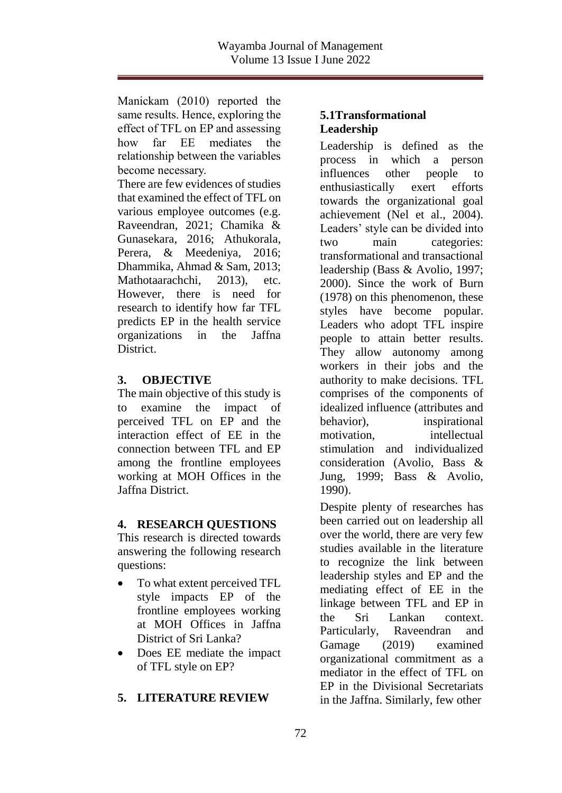Manickam (2010) reported the same results. Hence, exploring the effect of TFL on EP and assessing how far EE mediates the relationship between the variables become necessary.

There are few evidences of studies that examined the effect of TFL on various employee outcomes (e.g. Raveendran, 2021; Chamika & Gunasekara, 2016; Athukorala, Perera, & Meedeniya, 2016; Dhammika, Ahmad & Sam, 2013; Mathotaarachchi, 2013), etc. However, there is need for research to identify how far TFL predicts EP in the health service organizations in the Jaffna District.

### **3. OBJECTIVE**

The main objective of this study is<br>to examine the impact of to examine the perceived TFL on EP and the interaction effect of EE in the connection between TFL and EP among the frontline employees working at MOH Offices in the Jaffna District.

# **4. RESEARCH QUESTIONS**

This research is directed towards answering the following research questions:

- To what extent perceived TFL style impacts EP of the frontline employees working at MOH Offices in Jaffna District of Sri Lanka?
- Does EE mediate the impact of TFL style on EP?

# **5. LITERATURE REVIEW**

### **5.1Transformational Leadership**

Leadership is defined as the process in which a person influences other people to enthusiastically exert efforts towards the organizational goal achievement (Nel et al., 2004). Leaders' style can be divided into two main categories: transformational and transactional leadership (Bass & Avolio, 1997; 2000). Since the work of Burn (1978) on this phenomenon, these styles have become popular. Leaders who adopt TFL inspire people to attain better results. They allow autonomy among workers in their jobs and the authority to make decisions. TFL comprises of the components of idealized influence (attributes and behavior), inspirational motivation, intellectual stimulation and individualized consideration (Avolio, Bass & Jung, 1999; Bass & Avolio, 1990).

Despite plenty of researches has been carried out on leadership all over the world, there are very few studies available in the literature to recognize the link between leadership styles and EP and the mediating effect of EE in the linkage between TFL and EP in the Sri Lankan context. Particularly, Raveendran and Gamage (2019) examined organizational commitment as a mediator in the effect of TFL on EP in the Divisional Secretariats in the Jaffna. Similarly, few other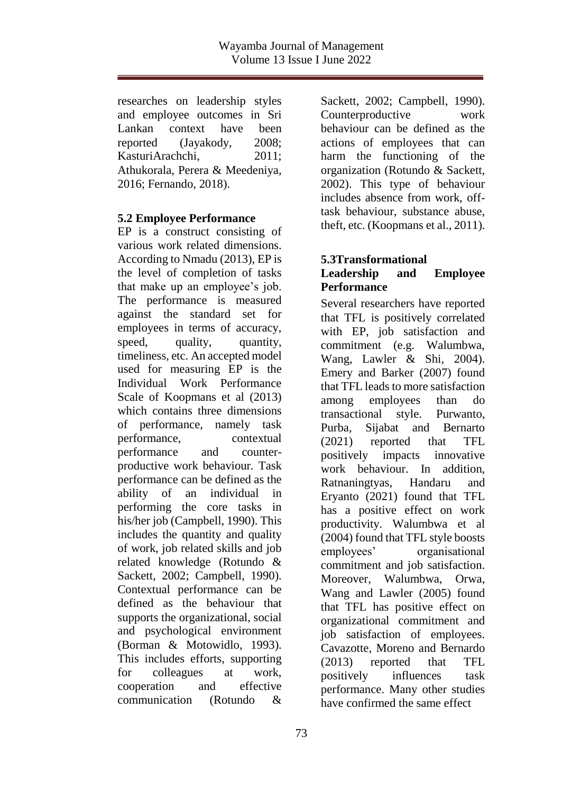researches on leadership styles and employee outcomes in Sri Lankan context have been reported (Jayakody, 2008; KasturiArachchi, 2011; Athukorala, Perera & Meedeniya, 2016; Fernando, 2018).

### **5.2 Employee Performance**

EP is a construct consisting of various work related dimensions. According to Nmadu (2013), EP is the level of completion of tasks that make up an employee's job. The performance is measured against the standard set for employees in terms of accuracy, speed, quality, quantity, timeliness, etc. An accepted model used for measuring EP is the Individual Work Performance Scale of Koopmans et al (2013) which contains three dimensions of performance, namely task performance, contextual performance and counterproductive work behaviour. Task performance can be defined as the ability of an individual in performing the core tasks in his/her job (Campbell, 1990). This includes the quantity and quality of work, job related skills and job related knowledge (Rotundo & Sackett, 2002; Campbell, 1990). Contextual performance can be defined as the behaviour that supports the organizational, social and psychological environment (Borman & Motowidlo, 1993). This includes efforts, supporting for colleagues at work, cooperation and effective communication (Rotundo &

Sackett, 2002; Campbell, 1990). Counterproductive work behaviour can be defined as the actions of employees that can harm the functioning of the organization (Rotundo & Sackett, 2002). This type of behaviour includes absence from work, offtask behaviour, substance abuse, theft, etc. (Koopmans et al., 2011).

#### **5.3Transformational Leadership and Employee Performance**

Several researchers have reported that TFL is positively correlated with EP, job satisfaction and commitment (e.g. Walumbwa, Wang, Lawler & Shi, 2004). Emery and Barker (2007) found that TFL leads to more satisfaction among employees than do transactional style. Purwanto, Purba, Sijabat and Bernarto (2021) reported that TFL positively impacts innovative work behaviour. In addition, Ratnaningtyas, Handaru and Eryanto (2021) found that TFL has a positive effect on work productivity. Walumbwa et al (2004) found that TFL style boosts employees' organisational commitment and job satisfaction. Moreover, Walumbwa, Orwa, Wang and Lawler (2005) found that TFL has positive effect on organizational commitment and job satisfaction of employees. Cavazotte, Moreno and Bernardo (2013) reported that TFL positively influences task performance. Many other studies have confirmed the same effect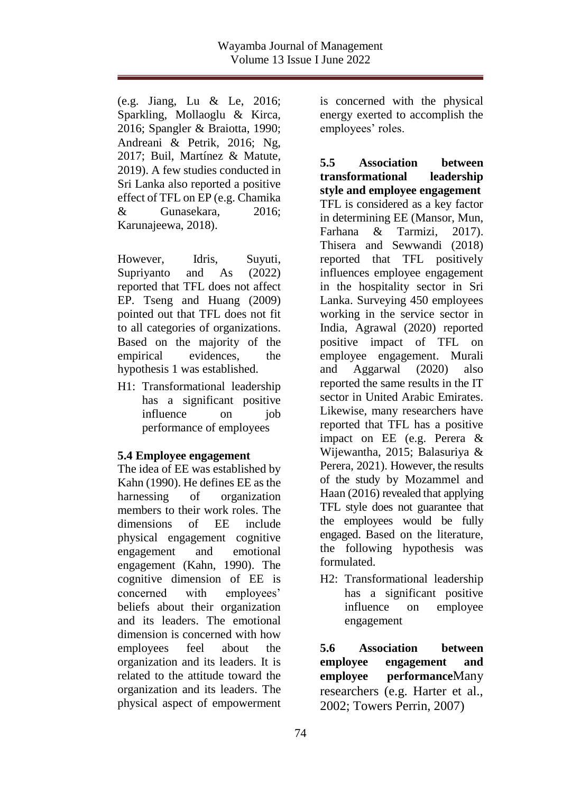(e.g. Jiang, Lu & Le, 2016; Sparkling, Mollaoglu & Kirca, 2016; Spangler & Braiotta, 1990; Andreani & Petrik, 2016; Ng, 2017; Buil, Martínez & Matute, 2019). A few studies conducted in Sri Lanka also reported a positive effect of TFL on EP (e.g. Chamika & Gunasekara, 2016; Karunajeewa, 2018).

However, Idris, Suyuti, Supriyanto and As (2022) reported that TFL does not affect EP. Tseng and Huang (2009) pointed out that TFL does not fit to all categories of organizations. Based on the majority of the empirical evidences, the hypothesis 1 was established.

H1: Transformational leadership has a significant positive influence on iob performance of employees

### **5.4 Employee engagement**

The idea of EE was established by Kahn (1990). He defines EE as the harnessing of organization members to their work roles. The dimensions of EE include physical engagement cognitive engagement and emotional engagement (Kahn, 1990). The cognitive dimension of EE is concerned with employees' beliefs about their organization and its leaders. The emotional dimension is concerned with how employees feel about the organization and its leaders. It is related to the attitude toward the organization and its leaders. The physical aspect of empowerment

is concerned with the physical energy exerted to accomplish the employees' roles.

**5.5 Association between transformational leadership style and employee engagement** TFL is considered as a key factor in determining EE (Mansor, Mun, Farhana & Tarmizi, 2017). Thisera and Sewwandi (2018) reported that TFL positively influences employee engagement in the hospitality sector in Sri Lanka. Surveying 450 employees working in the service sector in India, Agrawal (2020) reported positive impact of TFL on employee engagement. Murali and Aggarwal (2020) also reported the same results in the IT sector in United Arabic Emirates. Likewise, many researchers have reported that TFL has a positive impact on EE (e.g. Perera & Wijewantha, 2015; Balasuriya & Perera, 2021). However, the results of the study by Mozammel and Haan (2016) revealed that applying TFL style does not guarantee that the employees would be fully engaged. Based on the literature, the following hypothesis was formulated.

H2: Transformational leadership has a significant positive influence on employee engagement

**5.6 Association between employee engagement and employee performance**Many researchers (e.g. Harter et al., 2002; Towers Perrin, 2007)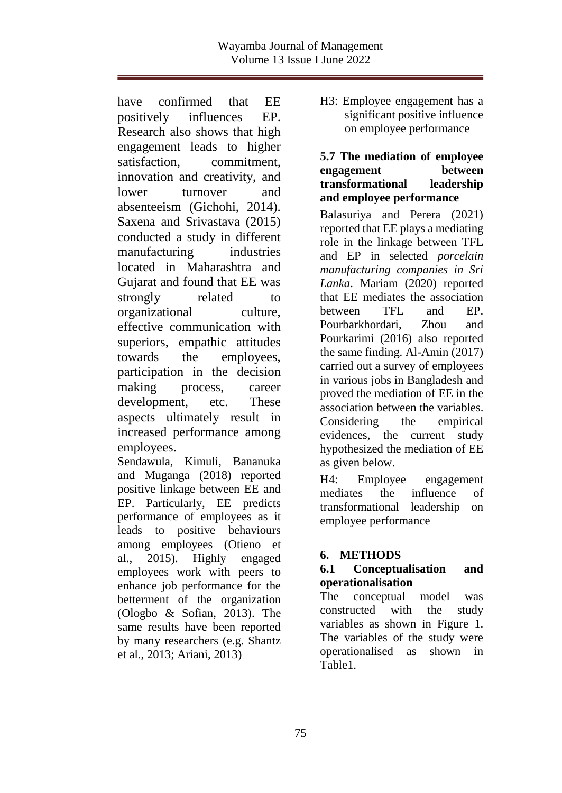have confirmed that EE positively influences EP. Research also shows that high engagement leads to higher satisfaction, commitment, innovation and creativity, and lower turnover and absenteeism (Gichohi, 2014). Saxena and Srivastava (2015) conducted a study in different manufacturing industries located in Maharashtra and Gujarat and found that EE was strongly related to organizational culture, effective communication with superiors, empathic attitudes towards the employees, participation in the decision making process, career development, etc. These aspects ultimately result in increased performance among employees.

Sendawula, Kimuli, Bananuka and Muganga (2018) reported positive linkage between EE and EP. Particularly, EE predicts performance of employees as it leads to positive behaviours among employees (Otieno et al., [2015\)](https://www.tandfonline.com/doi/full/10.1080/23311975.2018.1470891). Highly engaged employees work with peers to enhance job performance for the betterment of the organization (Ologbo & Sofian, [2013\)](https://www.tandfonline.com/doi/full/10.1080/23311975.2018.1470891). The same results have been reported by many researchers (e.g. Shantz et al., [2013;](https://www.tandfonline.com/doi/full/10.1080/23311975.2018.1470891) Ariani, [2013\)](https://www.tandfonline.com/doi/full/10.1080/23311975.2018.1470891)

H3: Employee engagement has a significant positive influence on employee performance

### **5.7 The mediation of employee engagement between transformational leadership and employee performance**

Balasuriya and Perera (2021) reported that EE plays a mediating role in the linkage between TFL and EP in selected *porcelain manufacturing companies in Sri Lanka*. Mariam (2020) reported that EE mediates the association between TFL and EP Pourbarkhordari, Zhou and Pourkarimi (2016) also reported the same finding. Al-Amin (2017) carried out a survey of employees in various jobs in Bangladesh and proved the mediation of EE in the association between the variables. Considering the empirical evidences, the current study hypothesized the mediation of EE as given below.

H4: Employee engagement mediates the influence of transformational leadership on employee performance

# **6. METHODS**

### **6.1 Conceptualisation and operationalisation**

The conceptual model was constructed with the study variables as shown in Figure 1. The variables of the study were operationalised as shown in Table1.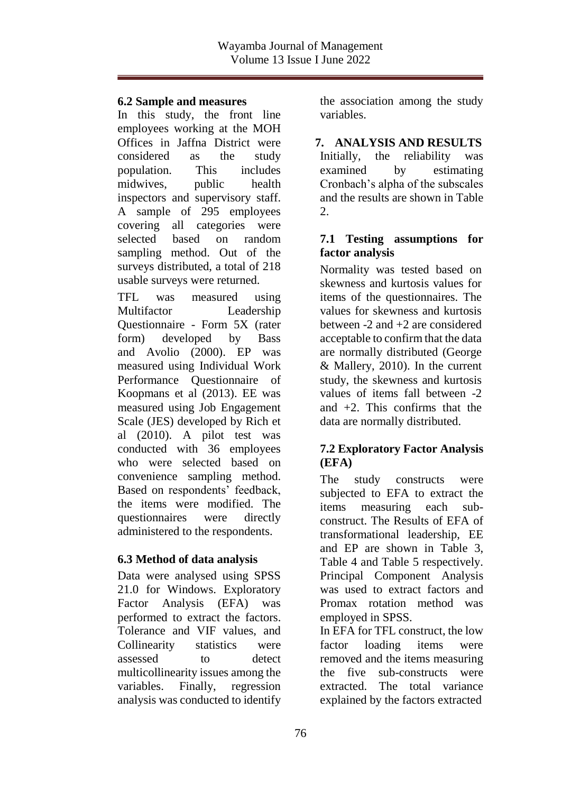### **6.2 Sample and measures**

In this study, the front line employees working at the MOH Offices in Jaffna District were considered as the study population. This includes midwives, public health inspectors and supervisory staff. A sample of 295 employees covering all categories were selected based on random sampling method. Out of the surveys distributed, a total of 218 usable surveys were returned.

TFL was measured using Multifactor Leadership Questionnaire - Form 5X (rater form) developed by Bass and Avolio (2000). EP was measured using Individual Work Performance Questionnaire of Koopmans et al (2013). EE was measured using Job Engagement Scale (JES) developed by Rich et al (2010). A pilot test was conducted with 36 employees who were selected based on convenience sampling method. Based on respondents' feedback, the items were modified. The questionnaires were directly administered to the respondents.

### **6.3 Method of data analysis**

Data were analysed using SPSS 21.0 for Windows. Exploratory Factor Analysis (EFA) was performed to extract the factors. Tolerance and VIF values, and Collinearity statistics were assessed to detect multicollinearity issues among the variables. Finally, regression analysis was conducted to identify

the association among the study variables.

**7. ANALYSIS AND RESULTS** Initially, the reliability was examined by estimating Cronbach's alpha of the subscales and the results are shown in Table 2.

### **7.1 Testing assumptions for factor analysis**

Normality was tested based on skewness and kurtosis values for items of the questionnaires. The values for skewness and kurtosis between -2 and +2 are considered acceptable to confirm that the data are normally distributed (George & Mallery, 2010). In the current study, the skewness and kurtosis values of items fall between -2 and  $+2$ . This confirms that the data are normally distributed.

### **7.2 Exploratory Factor Analysis (EFA)**

The study constructs were subjected to EFA to extract the items measuring each subconstruct. The Results of EFA of transformational leadership, EE and EP are shown in Table 3, Table 4 and Table 5 respectively. Principal Component Analysis was used to extract factors and Promax rotation method was employed in SPSS.

In EFA for TFL construct, the low factor loading items were removed and the items measuring the five sub-constructs were extracted. The total variance explained by the factors extracted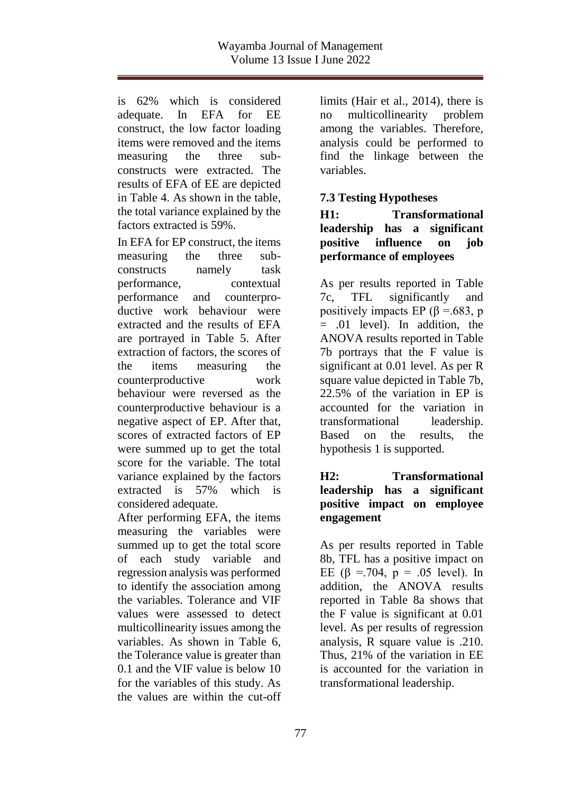is 62% which is considered adequate. In EFA for EE construct, the low factor loading items were removed and the items measuring the three subconstructs were extracted. The results of EFA of EE are depicted in Table 4. As shown in the table, the total variance explained by the factors extracted is 59%.

In EFA for EP construct, the items measuring the three subconstructs namely task performance, contextual performance and counterproductive work behaviour were extracted and the results of EFA are portrayed in Table 5. After extraction of factors, the scores of the items measuring the counterproductive work behaviour were reversed as the counterproductive behaviour is a negative aspect of EP. After that, scores of extracted factors of EP were summed up to get the total score for the variable. The total variance explained by the factors extracted is 57% which is considered adequate.

After performing EFA, the items measuring the variables were summed up to get the total score of each study variable and regression analysis was performed to identify the association among the variables. Tolerance and VIF values were assessed to detect multicollinearity issues among the variables. As shown in Table 6, the Tolerance value is greater than 0.1 and the VIF value is below 10 for the variables of this study. As the values are within the cut-off

limits (Hair et al., 2014), there is no multicollinearity problem among the variables. Therefore, analysis could be performed to find the linkage between the variables.

# **7.3 Testing Hypotheses**

**H1: Transformational leadership has a significant positive influence on job performance of employees**

As per results reported in Table 7c, TFL significantly and positively impacts EP ( $\beta$  =.683, p = .01 level). In addition, the ANOVA results reported in Table 7b portrays that the F value is significant at 0.01 level. As per R square value depicted in Table 7b, 22.5% of the variation in EP is accounted for the variation in transformational leadership. Based on the results, the hypothesis 1 is supported.

### **H2: Transformational leadership has a significant positive impact on employee engagement**

As per results reported in Table 8b, TFL has a positive impact on EE  $(6 = .704, p = .05$  level). In addition, the ANOVA results reported in Table 8a shows that the F value is significant at 0.01 level. As per results of regression analysis, R square value is .210. Thus, 21% of the variation in EE is accounted for the variation in transformational leadership.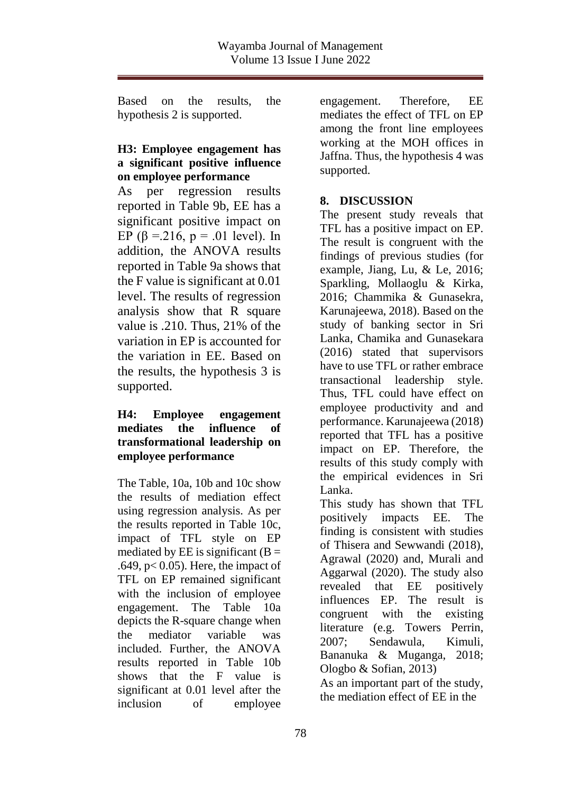Based on the results, the hypothesis 2 is supported.

### **H3: Employee engagement has a significant positive influence on employee performance**

As per regression results reported in Table 9b, EE has a significant positive impact on EP  $(\beta = 216, p = .01$  level). In addition, the ANOVA results reported in Table 9a shows that the F value is significant at 0.01 level. The results of regression analysis show that R square value is .210. Thus, 21% of the variation in EP is accounted for the variation in EE. Based on the results, the hypothesis 3 is supported.

### **H4: Employee engagement mediates the influence of transformational leadership on employee performance**

The Table, 10a, 10b and 10c show the results of mediation effect using regression analysis. As per the results reported in Table 10c, impact of TFL style on EP mediated by EE is significant  $(B =$ .649,  $p < 0.05$ ). Here, the impact of TFL on EP remained significant with the inclusion of employee engagement. The Table 10a depicts the R-square change when the mediator variable was included. Further, the ANOVA results reported in Table 10b shows that the F value is significant at 0.01 level after the inclusion of employee

engagement. Therefore, EE mediates the effect of TFL on EP among the front line employees working at the MOH offices in Jaffna. Thus, the hypothesis 4 was supported.

# **8. DISCUSSION**

The present study reveals that TFL has a positive impact on EP. The result is congruent with the findings of previous studies (for example, Jiang, Lu, & Le, 2016; Sparkling, Mollaoglu & Kirka, 2016; Chammika & Gunasekra, Karunajeewa, 2018). Based on the study of banking sector in Sri Lanka, Chamika and Gunasekara (2016) stated that supervisors have to use TFL or rather embrace transactional leadership style. Thus, TFL could have effect on employee productivity and and performance. Karunajeewa (2018) reported that TFL has a positive impact on EP. Therefore, the results of this study comply with the empirical evidences in Sri Lanka.

This study has shown that TFL positively impacts EE. The finding is consistent with studies of Thisera and Sewwandi (2018), Agrawal (2020) and, Murali and Aggarwal (2020). The study also revealed that EE positively influences EP. The result is congruent with the existing literature (e.g. Towers Perrin, 2007; Sendawula, Kimuli, Bananuka & Muganga, 2018; Ologbo & Sofian, [2013\)](https://www.tandfonline.com/doi/full/10.1080/23311975.2018.1470891) As an important part of the study,

the mediation effect of EE in the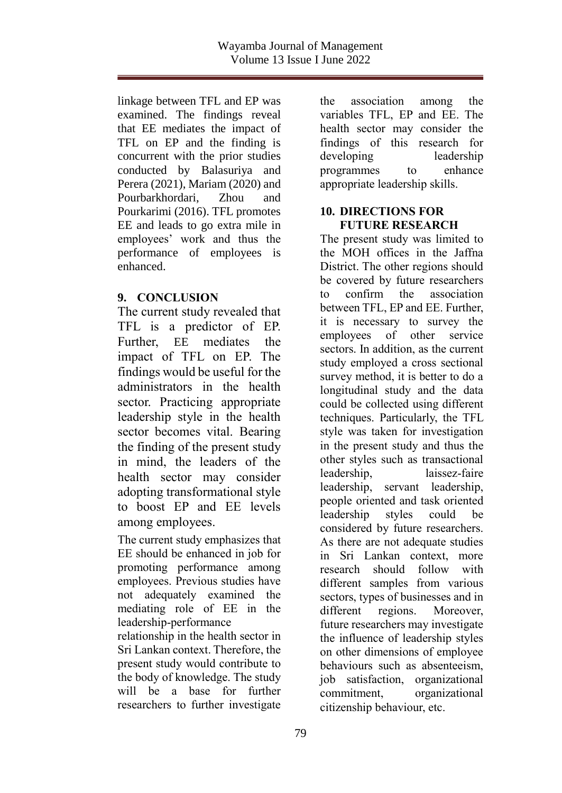linkage between TFL and EP was examined. The findings reveal that EE mediates the impact of TFL on EP and the finding is concurrent with the prior studies conducted by Balasuriya and Perera (2021), Mariam (2020) and Pourbarkhordari, Zhou and Pourkarimi (2016). TFL promotes EE and leads to go extra mile in employees' work and thus the performance of employees is enhanced.

### **9. CONCLUSION**

The current study revealed that TFL is a predictor of EP. Further, EE mediates the impact of TFL on EP. The findings would be useful for the administrators in the health sector. Practicing appropriate leadership style in the health sector becomes vital. Bearing the finding of the present study in mind, the leaders of the health sector may consider adopting transformational style to boost EP and EE levels among employees.

The current study emphasizes that EE should be enhanced in job for promoting performance among employees. Previous studies have not adequately examined the mediating role of EE in the leadership-performance

relationship in the health sector in Sri Lankan context. Therefore, the present study would contribute to the body of knowledge. The study will be a base for further researchers to further investigate

the association among the variables TFL, EP and EE. The health sector may consider the findings of this research for developing leadership programmes to enhance appropriate leadership skills.

### **10. DIRECTIONS FOR FUTURE RESEARCH**

The present study was limited to the MOH offices in the Jaffna District. The other regions should be covered by future researchers to confirm the association between TFL, EP and EE. Further, it is necessary to survey the employees of other service sectors. In addition, as the current study employed a cross sectional survey method, it is better to do a longitudinal study and the data could be collected using different techniques. Particularly, the TFL style was taken for investigation in the present study and thus the other styles such as transactional leadership, laissez-faire leadership, servant leadership, people oriented and task oriented leadership styles could be considered by future researchers. As there are not adequate studies in Sri Lankan context, more research should follow with different samples from various sectors, types of businesses and in different regions. Moreover, future researchers may investigate the influence of leadership styles on other dimensions of employee behaviours such as absenteeism, job satisfaction, organizational commitment, organizational citizenship behaviour, etc.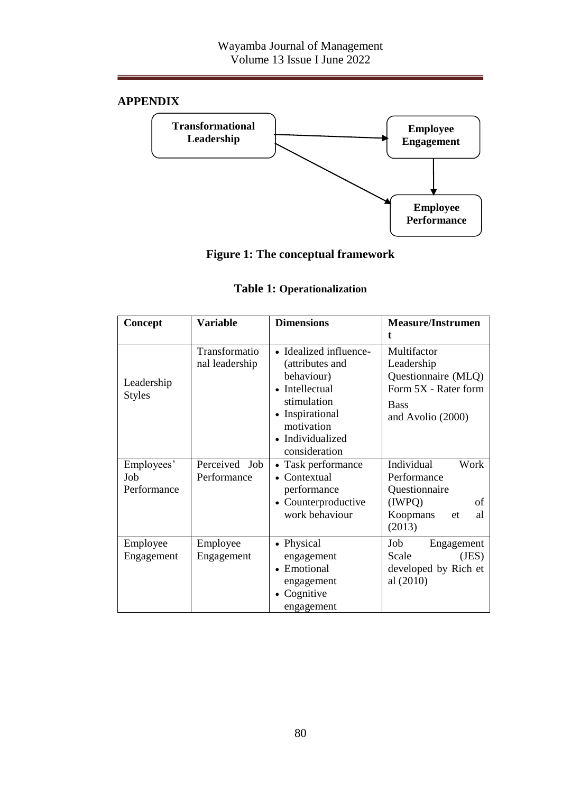# **APPENDIX**



# **Figure 1: The conceptual framework**

### **Table 1: Operationalization**

| Concept                          | <b>Variable</b>                 | <b>Dimensions</b>                                                                                                                                              | <b>Measure/Instrumen</b>                                                                                        |
|----------------------------------|---------------------------------|----------------------------------------------------------------------------------------------------------------------------------------------------------------|-----------------------------------------------------------------------------------------------------------------|
| Leadership<br><b>Styles</b>      | Transformatio<br>nal leadership | • Idealized influence-<br>(attributes and<br>behaviour)<br>• Intellectual<br>stimulation<br>• Inspirational<br>motivation<br>• Individualized<br>consideration | Multifactor<br>Leadership<br>Questionnaire (MLQ)<br>Form 5X - Rater form<br><b>Bass</b><br>and Avolio (2000)    |
| Employees'<br>Job<br>Performance | Perceived Job<br>Performance    | • Task performance<br>$\bullet$ Contextual<br>performance<br>• Counterproductive<br>work behaviour                                                             | Individual<br>Work<br>Performance<br>Questionnaire<br>(IWPO)<br>of<br>Koopmans<br>al<br><sub>et</sub><br>(2013) |
| Employee<br>Engagement           | Employee<br>Engagement          | • Physical<br>engagement<br>• Emotional<br>engagement<br>• Cognitive<br>engagement                                                                             | Job<br>Engagement<br>Scale<br>(JES)<br>developed by Rich et<br>al $(2010)$                                      |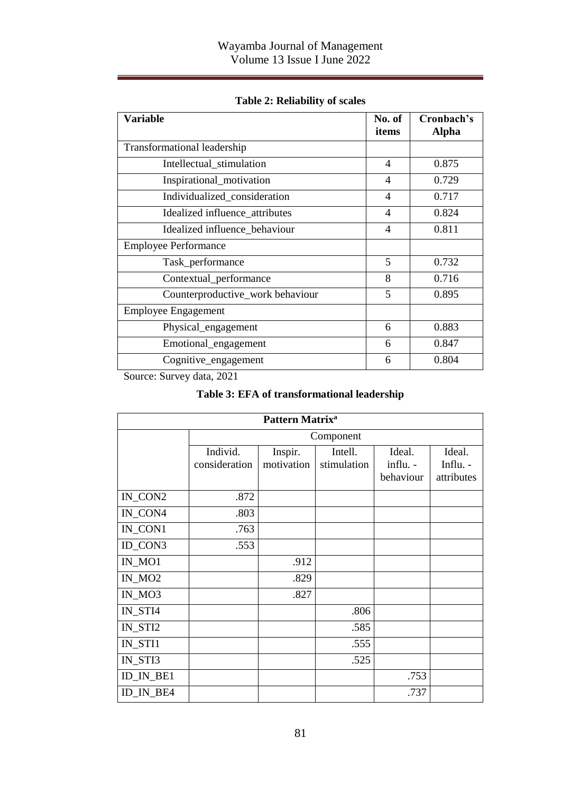| Variable                         | No. of         | Cronbach's   |
|----------------------------------|----------------|--------------|
|                                  | items          | <b>Alpha</b> |
| Transformational leadership      |                |              |
| Intellectual_stimulation         | $\overline{4}$ | 0.875        |
| Inspirational_motivation         | 4              | 0.729        |
| Individualized_consideration     | 4              | 0.717        |
| Idealized influence_attributes   | $\overline{4}$ | 0.824        |
| Idealized influence_behaviour    | 4              | 0.811        |
| <b>Employee Performance</b>      |                |              |
| Task_performance                 | 5              | 0.732        |
| Contextual_performance           | 8              | 0.716        |
| Counterproductive_work behaviour | 5              | 0.895        |
| <b>Employee Engagement</b>       |                |              |
| Physical_engagement              | 6              | 0.883        |
| Emotional_engagement             | 6              | 0.847        |
| Cognitive_engagement             | 6              | 0.804        |

**Table 2: Reliability of scales**

Source: Survey data, 2021

### **Table 3: EFA of transformational leadership**

| Pattern Matrix <sup>a</sup> |                           |                       |                        |                                 |                                  |  |  |  |
|-----------------------------|---------------------------|-----------------------|------------------------|---------------------------------|----------------------------------|--|--|--|
|                             |                           | Component             |                        |                                 |                                  |  |  |  |
|                             | Individ.<br>consideration | Inspir.<br>motivation | Intell.<br>stimulation | Ideal.<br>influ. -<br>behaviour | Ideal.<br>Influ. -<br>attributes |  |  |  |
| IN_CON2                     | .872                      |                       |                        |                                 |                                  |  |  |  |
| IN_CON4                     | .803                      |                       |                        |                                 |                                  |  |  |  |
| IN_CON1                     | .763                      |                       |                        |                                 |                                  |  |  |  |
| ID_CON3                     | .553                      |                       |                        |                                 |                                  |  |  |  |
| $IN_MO1$                    |                           | .912                  |                        |                                 |                                  |  |  |  |
| $IN_MO2$                    |                           | .829                  |                        |                                 |                                  |  |  |  |
| IN_MO3                      |                           | .827                  |                        |                                 |                                  |  |  |  |
| IN_STI4                     |                           |                       | .806                   |                                 |                                  |  |  |  |
| IN_STI2                     |                           |                       | .585                   |                                 |                                  |  |  |  |
| IN_STI1                     |                           |                       | .555                   |                                 |                                  |  |  |  |
| IN_STI3                     |                           |                       | .525                   |                                 |                                  |  |  |  |
| ID_IN_BE1                   |                           |                       |                        | .753                            |                                  |  |  |  |
| ID_IN_BE4                   |                           |                       |                        | .737                            |                                  |  |  |  |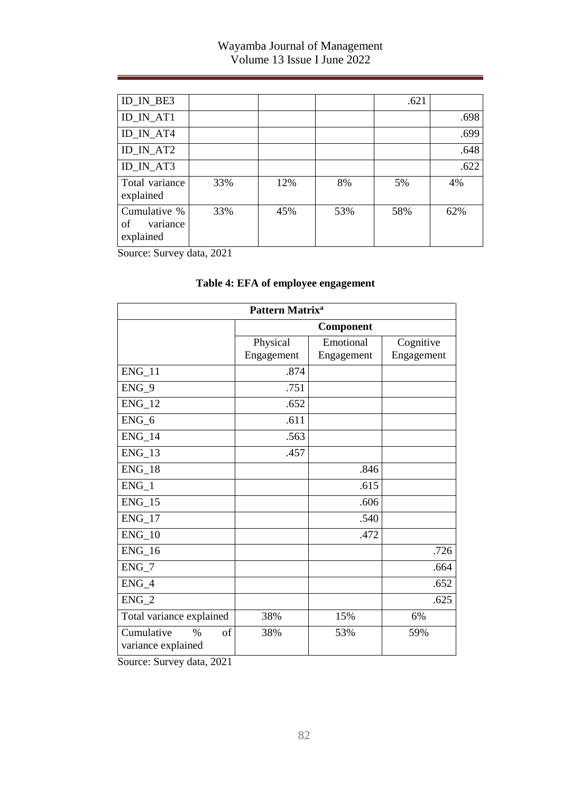## Wayamba Journal of Management Volume 13 Issue I June 2022

| ID_IN_BE3                                   |     |     |     | .621 |      |
|---------------------------------------------|-----|-----|-----|------|------|
| ID IN AT1                                   |     |     |     |      | .698 |
| ID_IN_AT4                                   |     |     |     |      | .699 |
| ID_IN_AT2                                   |     |     |     |      | .648 |
| ID IN AT3                                   |     |     |     |      | .622 |
| Total variance<br>explained                 | 33% | 12% | 8%  | 5%   | 4%   |
| Cumulative %<br>of<br>variance<br>explained | 33% | 45% | 53% | 58%  | 62%  |

Source: Survey data, 2021

|                                                | Pattern Matrix <sup>a</sup> |                         |                         |  |  |  |  |  |
|------------------------------------------------|-----------------------------|-------------------------|-------------------------|--|--|--|--|--|
|                                                |                             | Component               |                         |  |  |  |  |  |
|                                                | Physical<br>Engagement      | Emotional<br>Engagement | Cognitive<br>Engagement |  |  |  |  |  |
|                                                |                             |                         |                         |  |  |  |  |  |
| $ENG_11$                                       | .874                        |                         |                         |  |  |  |  |  |
| $ENG_9$                                        | .751                        |                         |                         |  |  |  |  |  |
| $ENG_12$                                       | .652                        |                         |                         |  |  |  |  |  |
| $ENG_6$                                        | .611                        |                         |                         |  |  |  |  |  |
| $ENG_14$                                       | .563                        |                         |                         |  |  |  |  |  |
| $ENG_13$                                       | .457                        |                         |                         |  |  |  |  |  |
| $ENG_18$                                       |                             | .846                    |                         |  |  |  |  |  |
| ENG 1                                          |                             | .615                    |                         |  |  |  |  |  |
| $ENG_15$                                       |                             | .606                    |                         |  |  |  |  |  |
| $ENG_17$                                       |                             | .540                    |                         |  |  |  |  |  |
| $ENG_10$                                       |                             | .472                    |                         |  |  |  |  |  |
| $ENG_16$                                       |                             |                         | .726                    |  |  |  |  |  |
| $ENG_7$                                        |                             |                         | .664                    |  |  |  |  |  |
| $ENG_4$                                        |                             |                         | .652                    |  |  |  |  |  |
| $ENG_2$                                        |                             |                         | .625                    |  |  |  |  |  |
| Total variance explained                       | 38%                         | 15%                     | 6%                      |  |  |  |  |  |
| Cumulative<br>of<br>$\%$<br>variance explained | 38%                         | 53%                     | 59%                     |  |  |  |  |  |

# **Table 4: EFA of employee engagement**

Source: Survey data, 2021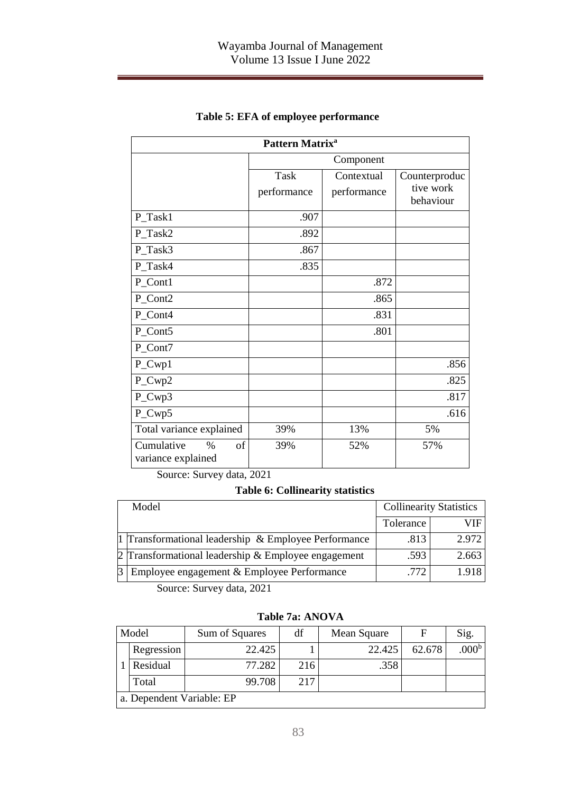| Pattern Matrix <sup>a</sup>                    |                     |                           |                                         |  |  |  |
|------------------------------------------------|---------------------|---------------------------|-----------------------------------------|--|--|--|
|                                                |                     | Component                 |                                         |  |  |  |
|                                                | Task<br>performance | Contextual<br>performance | Counterproduc<br>tive work<br>behaviour |  |  |  |
| P_Task1                                        | .907                |                           |                                         |  |  |  |
| P_Task2                                        | .892                |                           |                                         |  |  |  |
| P Task3                                        | .867                |                           |                                         |  |  |  |
| P_Task4                                        | .835                |                           |                                         |  |  |  |
| P_Cont1                                        |                     | .872                      |                                         |  |  |  |
| P_Cont2                                        |                     | .865                      |                                         |  |  |  |
| P_Cont4                                        |                     | .831                      |                                         |  |  |  |
| P_Cont5                                        |                     | .801                      |                                         |  |  |  |
| P_Cont7                                        |                     |                           |                                         |  |  |  |
| P_Cwp1                                         |                     |                           | .856                                    |  |  |  |
| P_Cwp2                                         |                     |                           | .825                                    |  |  |  |
| P_Cwp3                                         |                     |                           | .817                                    |  |  |  |
| P_Cwp5                                         |                     |                           | .616                                    |  |  |  |
| Total variance explained                       | 39%                 | 13%                       | 5%                                      |  |  |  |
| Cumulative<br>of<br>$\%$<br>variance explained | 39%                 | 52%                       | 57%                                     |  |  |  |

## **Table 5: EFA of employee performance**

Source: Survey data, 2021

### **Table 6: Collinearity statistics**

| Model                                                | <b>Collinearity Statistics</b> |       |  |
|------------------------------------------------------|--------------------------------|-------|--|
|                                                      | Tolerance                      | VIF   |  |
| 1 Transformational leadership & Employee Performance | .813                           | 2.972 |  |
| 2 Transformational leadership & Employee engagement  | .593                           | 2.663 |  |
| Employee engagement & Employee Performance           | 772                            | 1918  |  |

Source: Survey data, 2021

#### **Table 7a: ANOVA**

| Model                     | Sum of Squares | df  | Mean Square |        | Sig.              |  |
|---------------------------|----------------|-----|-------------|--------|-------------------|--|
| Regression                | 22.425         |     | 22.425      | 62.678 | .000 <sup>b</sup> |  |
| Residual                  | 77.282         | 216 | .358        |        |                   |  |
| Total                     | 99.708         | 217 |             |        |                   |  |
| a. Dependent Variable: EP |                |     |             |        |                   |  |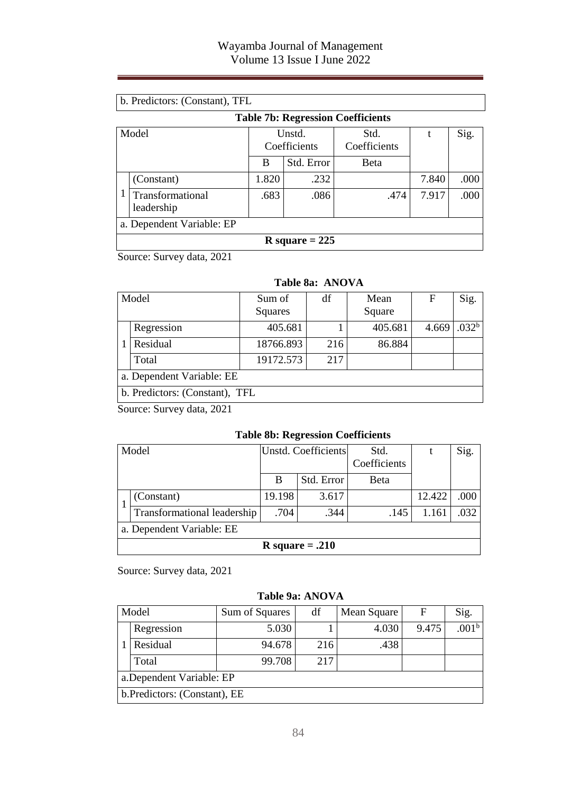|       | b. Predictors: (Constant), TFL           |                        |            |                      |       |      |  |  |  |
|-------|------------------------------------------|------------------------|------------|----------------------|-------|------|--|--|--|
|       | <b>Table 7b: Regression Coefficients</b> |                        |            |                      |       |      |  |  |  |
| Model |                                          | Unstd.<br>Coefficients |            | Std.<br>Coefficients |       | Sig. |  |  |  |
|       |                                          | B                      | Std. Error | <b>B</b> eta         |       |      |  |  |  |
|       | (Constant)                               | 1.820                  | .232       |                      | 7.840 | .000 |  |  |  |
|       | Transformational<br>leadership           | .683                   | .086       | .474                 | 7.917 | .000 |  |  |  |
|       | a. Dependent Variable: EP                |                        |            |                      |       |      |  |  |  |
|       | R square $= 225$                         |                        |            |                      |       |      |  |  |  |

Source: Survey data, 2021

#### **Table 8a: ANOVA**

|  | Model                          | Sum of<br>Squares | df  | Mean<br>Square | F     | Sig.              |  |
|--|--------------------------------|-------------------|-----|----------------|-------|-------------------|--|
|  | Regression                     | 405.681           |     | 405.681        | 4.669 | .032 <sup>b</sup> |  |
|  | Residual                       | 18766.893         | 216 | 86.884         |       |                   |  |
|  | Total                          | 19172.573         | 217 |                |       |                   |  |
|  | a. Dependent Variable: EE      |                   |     |                |       |                   |  |
|  | b. Predictors: (Constant), TFL |                   |     |                |       |                   |  |

Source: Survey data, 2021

### **Table 8b: Regression Coefficients**

| Model |                             | Unstd. Coefficients |            | Std.         |        | Sig. |  |  |
|-------|-----------------------------|---------------------|------------|--------------|--------|------|--|--|
|       |                             |                     |            | Coefficients |        |      |  |  |
|       |                             | в                   | Std. Error | Beta         |        |      |  |  |
|       | (Constant)                  | 19.198              | 3.617      |              | 12.422 | .000 |  |  |
|       | Transformational leadership | .704                | .344       | .145         | 1.161  | .032 |  |  |
|       | a. Dependent Variable: EE   |                     |            |              |        |      |  |  |
|       | R square $= .210$           |                     |            |              |        |      |  |  |

Source: Survey data, 2021

#### **Table 9a: ANOVA**

| Model                         | Sum of Squares | df  | Mean Square | F     | Sig.              |  |  |
|-------------------------------|----------------|-----|-------------|-------|-------------------|--|--|
| Regression                    | 5.030          |     | 4.030       | 9.475 | .001 <sup>b</sup> |  |  |
| Residual                      | 94.678         | 216 | .438        |       |                   |  |  |
| Total                         | 99.708         | 217 |             |       |                   |  |  |
| a.Dependent Variable: EP      |                |     |             |       |                   |  |  |
| b. Predictors: (Constant), EE |                |     |             |       |                   |  |  |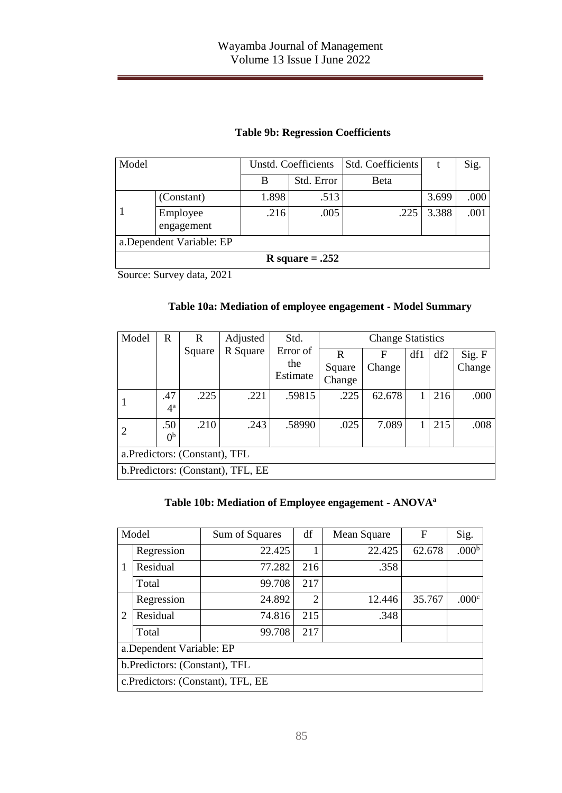| Model                     |                        |       | Unstd. Coefficients | Std. Coefficients |       | Sig. |  |  |  |  |
|---------------------------|------------------------|-------|---------------------|-------------------|-------|------|--|--|--|--|
|                           |                        | B     | Std. Error          | <b>B</b> eta      |       |      |  |  |  |  |
|                           | (Constant)             | 1.898 | .513                |                   | 3.699 | .000 |  |  |  |  |
|                           | Employee<br>engagement | .216  | .005                | .225              | 3.388 | .001 |  |  |  |  |
| a. Dependent Variable: EP |                        |       |                     |                   |       |      |  |  |  |  |
| R square $=.252$          |                        |       |                     |                   |       |      |  |  |  |  |

## **Table 9b: Regression Coefficients**

Source: Survey data, 2021

### **Table 10a: Mediation of employee engagement - Model Summary**

| Model                             | R              | R      | Adjusted | Std.            | <b>Change Statistics</b> |        |     |     |        |  |
|-----------------------------------|----------------|--------|----------|-----------------|--------------------------|--------|-----|-----|--------|--|
|                                   |                | Square | R Square | Error of<br>the | R                        | F      | df1 | df2 | Sig. F |  |
|                                   |                |        |          | Estimate        | Square                   | Change |     |     | Change |  |
|                                   |                |        |          |                 | Change                   |        |     |     |        |  |
|                                   | .47            | .225   | .221     | .59815          | .225                     | 62.678 | 1   | 216 | .000   |  |
|                                   | $4^{\rm a}$    |        |          |                 |                          |        |     |     |        |  |
| 2                                 | .50            | .210   | .243     | .58990          | .025                     | 7.089  |     | 215 | .008   |  |
|                                   | 0 <sup>b</sup> |        |          |                 |                          |        |     |     |        |  |
| a. Predictors: (Constant), TFL    |                |        |          |                 |                          |        |     |     |        |  |
| b.Predictors: (Constant), TFL, EE |                |        |          |                 |                          |        |     |     |        |  |

### **Table 10b: Mediation of Employee engagement - ANOVA<sup>a</sup>**

| Model                              |            | Sum of Squares | df             | Mean Square | F      | Sig.              |  |  |
|------------------------------------|------------|----------------|----------------|-------------|--------|-------------------|--|--|
| 1                                  | Regression | 22.425         |                | 22.425      | 62.678 | .000 <sup>b</sup> |  |  |
|                                    | Residual   | 77.282         | 216            | .358        |        |                   |  |  |
|                                    | Total      | 99.708         | 217            |             |        |                   |  |  |
| $\overline{2}$                     | Regression | 24.892         | $\overline{2}$ | 12.446      | 35.767 | .000 <sup>c</sup> |  |  |
|                                    | Residual   | 74.816         | 215            | .348        |        |                   |  |  |
|                                    | Total      | 99.708         | 217            |             |        |                   |  |  |
| a.Dependent Variable: EP           |            |                |                |             |        |                   |  |  |
| b.Predictors: (Constant), TFL      |            |                |                |             |        |                   |  |  |
| c. Predictors: (Constant), TFL, EE |            |                |                |             |        |                   |  |  |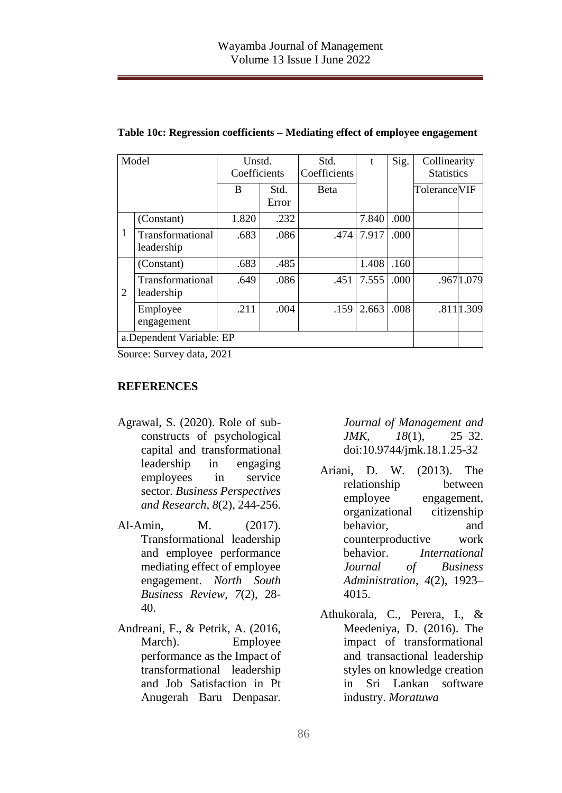| Model |                                | Unstd.<br>Coefficients |               | Std.<br>t<br>Coefficients |       | Sig. | Collinearity<br><b>Statistics</b> |            |
|-------|--------------------------------|------------------------|---------------|---------------------------|-------|------|-----------------------------------|------------|
|       |                                | B                      | Std.<br>Error | Beta                      |       |      | Tolerance VIF                     |            |
|       | (Constant)                     | 1.820                  | .232          |                           | 7.840 | .000 |                                   |            |
| 1     | Transformational<br>leadership | .683                   | .086          | .474                      | 7.917 | .000 |                                   |            |
| 2     | (Constant)                     | .683                   | .485          |                           | 1.408 | .160 |                                   |            |
|       | Transformational<br>leadership | .649                   | .086          | .451                      | 7.555 | .000 |                                   | .9671.079  |
|       | Employee<br>engagement         | .211                   | .004          | .159                      | 2.663 | .008 |                                   | .811 1.309 |
|       | a.Dependent Variable: EP       |                        |               |                           |       |      |                                   |            |

**Table 10c: Regression coefficients – Mediating effect of employee engagement**

Source: Survey data, 2021

#### **REFERENCES**

- Agrawal, S. (2020). Role of subconstructs of psychological capital and transformational leadership in engaging employees in service sector. *Business Perspectives and Research*, *8*(2), 244-256.
- Al-Amin, M. (2017). Transformational leadership and employee performance mediating effect of employee engagement. *North South Business Review*, *7*(2), 28- 40.
- Andreani, F., & Petrik, A. (2016, March). Employee performance as the Impact of transformational leadership and Job Satisfaction in Pt Anugerah Baru Denpasar.

*Journal of Management and JMK, 18*(1), 25–32. doi:10.9744/jmk.18.1.25-32

- Ariani, D. W. (2013). The relationship between employee engagement, organizational citizenship behavior, and counterproductive work behavior. *International Journal of Business Administration*, *4*(2), 1923– 4015.
- Athukorala, C., Perera, I., & Meedeniya, D. (2016). The impact of transformational and transactional leadership styles on knowledge creation in Sri Lankan software industry. *Moratuwa*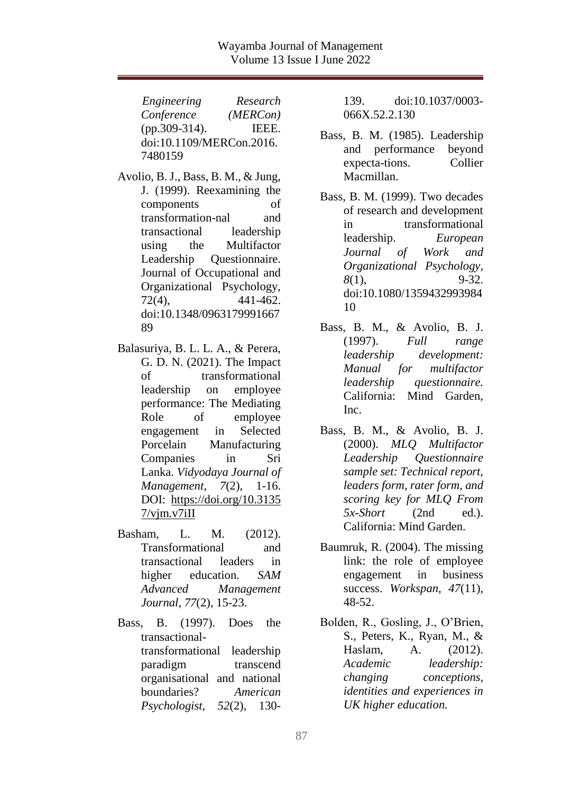*Engineering Research Conference (MERCon)* (pp.309-314). IEEE. doi:10.1109/MERCon.2016. 7480159

- Avolio, B. J., Bass, B. M., & Jung, J. (1999). Reexamining the components of transformation-nal and transactional leadership using the Multifactor Leadership Questionnaire. Journal of Occupational and Organizational Psychology, 72(4), 441-462. doi:10.1348/0963179991667 89
- Balasuriya, B. L. L. A., & Perera, G. D. N. (2021). The Impact of transformational leadership on employee performance: The Mediating Role of employee engagement in Selected Porcelain Manufacturing Companies in Sri Lanka. *Vidyodaya Journal of Management*, *7*(2), 1-16. DOI: [https://doi.org/10.3135](https://doi.org/10.31357/vjm.v7iII)  $7/\text{vim.}v7\text{i}II$
- Basham, L. M. (2012). Transformational and transactional leaders in higher education. *SAM Advanced Management Journal, 77*(2), 15-23.
- Bass, B. (1997). Does the transactionaltransformational leadership paradigm transcend organisational and national boundaries? *American Psychologist, 52*(2), 130-

139. doi:10.1037/0003- 066X.52.2.130

- Bass, B. M. (1985). Leadership and performance beyond expecta-tions. Collier Macmillan.
- Bass, B. M. (1999). Two decades of research and development in transformational leadership. *European Journal of Work and Organizational Psychology, 8*(1), 9-32. doi:10.1080/1359432993984 10
- Bass, B. M., & Avolio, B. J. (1997). *Full range leadership development: Manual for multifactor leadership questionnaire.* California: Mind Garden, Inc.
- Bass, B. M., & Avolio, B. J. (2000). *MLQ Multifactor Leadership Questionnaire sample set: Technical report, leaders form, rater form, and scoring key for MLQ From 5x-Short* (2nd ed.). California: Mind Garden.
- Baumruk, R. (2004). The missing link: the role of employee engagement in business success. *Workspan, 47*(11), 48-52.
- Bolden, R., Gosling, J., O'Brien, S., Peters, K., Ryan, M., & Haslam, A. (2012). *Academic leadership: changing conceptions, identities and experiences in UK higher education.*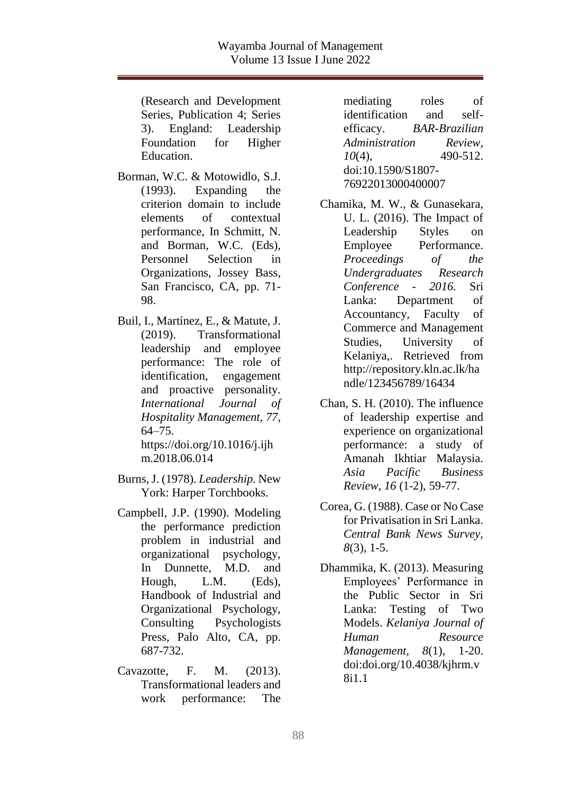(Research and Development Series, Publication 4; Series 3). England: Leadership Foundation for Higher Education.

- Borman, W.C. & Motowidlo, S.J. (1993). Expanding the criterion domain to include elements of contextual performance, In Schmitt, N. and Borman, W.C. (Eds), Personnel Selection in Organizations, Jossey Bass, San Francisco, CA, pp. 71- 98.
- Buil, I., Martínez, E., & Matute, J. (2019). Transformational leadership and employee performance: The role of identification, engagement and proactive personality. *International Journal of Hospitality Management, 77,* 64–75.

https://doi.org/10.1016/j.ijh m.2018.06.014

- Burns, J. (1978). *Leadership.* New York: Harper Torchbooks.
- Campbell, J.P. (1990). Modeling the performance prediction problem in industrial and organizational psychology, In Dunnette, M.D. and Hough, L.M. (Eds), Handbook of Industrial and Organizational Psychology, Consulting Psychologists Press, Palo Alto, CA, pp. 687-732.
- Cavazotte, F. M. (2013). Transformational leaders and work performance: The

mediating roles of identification and selfefficacy. *BAR-Brazilian Administration Review, 10*(4), 490-512. doi:10.1590/S1807- 76922013000400007

- Chamika, M. W., & Gunasekara, U. L. (2016). The Impact of Leadership Styles on Employee Performance. *Proceedings of the Undergraduates Research Conference - 2016.* Sri Lanka: Department of Accountancy, Faculty of Commerce and Management Studies, University of Kelaniya,. Retrieved from http://repository.kln.ac.lk/ha ndle/123456789/16434
- Chan, S. H. (2010). The influence of leadership expertise and experience on organizational performance: a study of Amanah Ikhtiar Malaysia. *Asia Pacific Business Review, 16* (1-2), 59-77.
- Corea, G. (1988). Case or No Case for Privatisation in Sri Lanka. *Central Bank News Survey, 8*(3), 1-5.
- Dhammika, K. (2013). Measuring Employees' Performance in the Public Sector in Sri Lanka: Testing of Two Models. *Kelaniya Journal of Human Resource Management, 8*(1), 1-20. doi:doi.org/10.4038/kjhrm.v 8i1.1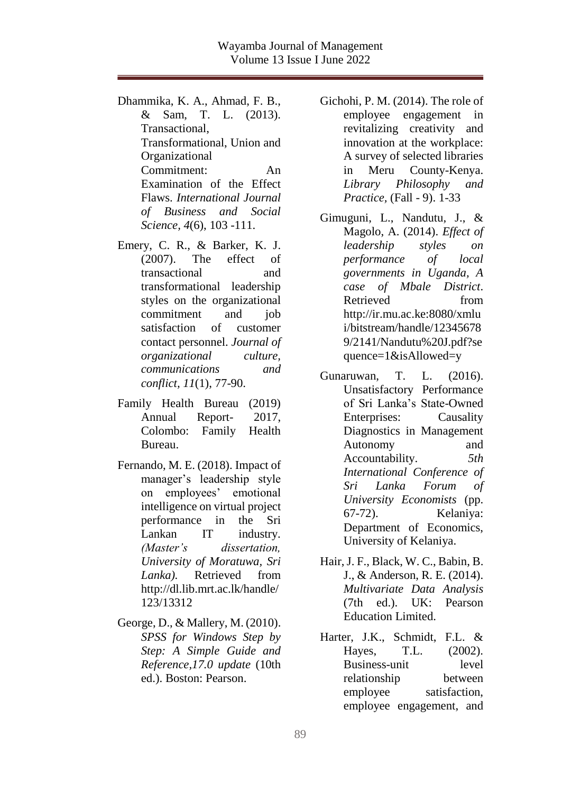- Dhammika, K. A., Ahmad, F. B., & Sam, T. L. (2013). Transactional, Transformational, Union and Organizational Commitment: An Examination of the Effect Flaws. *International Journal of Business and Social Science, 4*(6), 103 -111.
- Emery, C. R., & Barker, K. J. (2007). The effect of transactional and transformational leadership styles on the organizational commitment and job satisfaction of customer contact personnel. *Journal of organizational culture, communications and conflict, 11*(1), 77-90.
- Family Health Bureau (2019) Annual Report- 2017, Colombo: Family Health Bureau.
- Fernando, M. E. (2018). Impact of manager's leadership style on employees' emotional intelligence on virtual project performance in the Sri Lankan IT industry. *(Master's dissertation, University of Moratuwa, Sri Lanka).* Retrieved from http://dl.lib.mrt.ac.lk/handle/ 123/13312
- George, D., & Mallery, M. (2010). *SPSS for Windows Step by Step: A Simple Guide and Reference,17.0 update* (10th ed.). Boston: Pearson.
- Gichohi, P. M. (2014). The role of employee engagement in revitalizing creativity and innovation at the workplace: A survey of selected libraries in Meru County-Kenya. *Library Philosophy and Practice,* (Fall - 9). 1-33
- Gimuguni, L., Nandutu, J., & Magolo, A. (2014). *Effect of leadership styles on performance of local governments in Uganda, A case of Mbale District*. Retrieved from http://ir.mu.ac.ke:8080/xmlu i/bitstream/handle/12345678 9/2141/Nandutu%20J.pdf?se quence=1&isAllowed=y
- Gunaruwan, T. L. (2016). Unsatisfactory Performance of Sri Lanka's State-Owned Enterprises: Causality Diagnostics in Management Autonomy and Accountability. *5th International Conference of Sri Lanka Forum of University Economists* (pp. 67-72). Kelaniya: Department of Economics, University of Kelaniya.
- Hair, J. F., Black, W. C., Babin, B. J., & Anderson, R. E. (2014). *Multivariate Data Analysis* (7th ed.). UK: Pearson Education Limited.
- Harter, J.K., Schmidt, F.L. & Hayes, T.L. (2002). Business-unit level relationship between employee satisfaction, employee engagement, and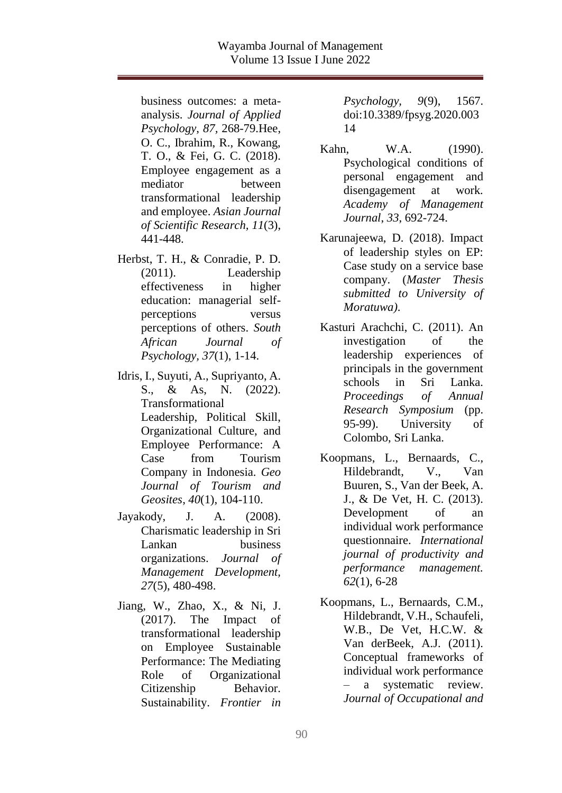business outcomes: a metaanalysis. *Journal of Applied Psychology*, *87,* 268-79.Hee, O. C., Ibrahim, R., Kowang, T. O., & Fei, G. C. (2018). Employee engagement as a mediator between transformational leadership and employee. *Asian Journal of Scientific Research, 11*(3), 441-448.

- Herbst, T. H., & Conradie, P. D. (2011). Leadership effectiveness in higher education: managerial selfperceptions versus perceptions of others. *South African Journal of Psychology, 37*(1), 1-14.
- Idris, I., Suyuti, A., Supriyanto, A. S., & As, N. (2022). Transformational Leadership, Political Skill, Organizational Culture, and Employee Performance: A Case from Tourism Company in Indonesia. *Geo Journal of Tourism and Geosites*, *40*(1), 104-110.
- Jayakody, J. A. (2008). Charismatic leadership in Sri Lankan business organizations. *Journal of Management Development, 27*(5), 480-498.
- Jiang, W., Zhao, X., & Ni, J. (2017). The Impact of transformational leadership on Employee Sustainable Performance: The Mediating Role of Organizational Citizenship Behavior. Sustainability. *Frontier in*

*Psychology, 9*(9), 1567. doi:10.3389/fpsyg.2020.003 14

- Kahn, W.A. (1990). Psychological conditions of personal engagement and disengagement at work. *Academy of Management Journal*, *33*, 692-724.
- Karunajeewa, D. (2018). Impact of leadership styles on EP: Case study on a service base company. (*Master Thesis submitted to University of Moratuwa)*.
- Kasturi Arachchi, C. (2011). An investigation of the leadership experiences of principals in the government schools in Sri Lanka. *Proceedings of Annual Research Symposium* (pp. 95-99). University of Colombo, Sri Lanka.
- Koopmans, L., Bernaards, C., Hildebrandt, V., Van Buuren, S., Van der Beek, A. J., & De Vet, H. C. (2013). Development of an individual work performance questionnaire. *International journal of productivity and performance management. 62*(1), 6-28
- Koopmans, L., Bernaards, C.M., Hildebrandt, V.H., Schaufeli, W.B., De Vet, H.C.W. & Van derBeek, A.J. (2011). Conceptual frameworks of individual work performance – a systematic review. *Journal of Occupational and*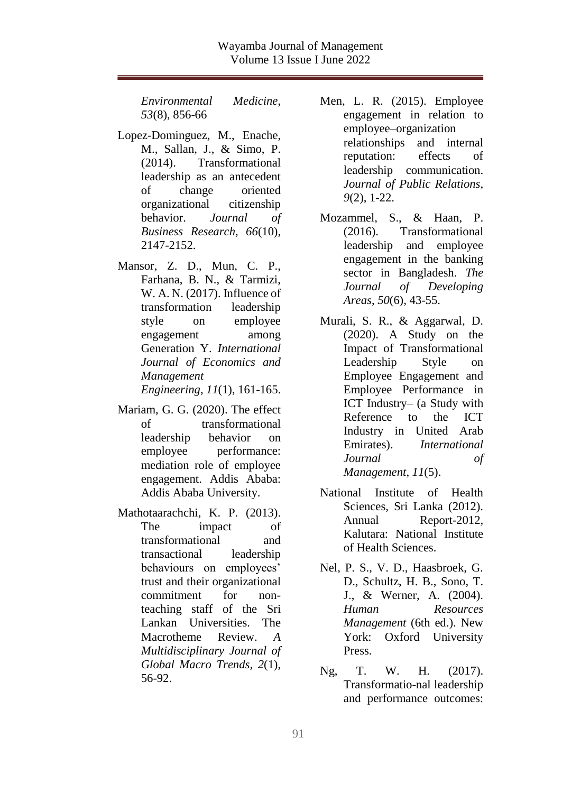*Environmental Medicine, 53*(8), 856-66

- Lopez-Dominguez, M., Enache, M., Sallan, J., & Simo, P. (2014). Transformational leadership as an antecedent of change oriented organizational citizenship behavior. *Journal of Business Research, 66*(10), 2147-2152.
- Mansor, Z. D., Mun, C. P., Farhana, B. N., & Tarmizi, W. A. N. (2017). Influence of transformation leadership style on employee engagement among Generation Y. *International Journal of Economics and Management Engineering*, *11*(1), 161-165.
- Mariam, G. G. (2020). The effect of transformational leadership behavior on employee performance: mediation role of employee engagement. Addis Ababa: Addis Ababa University.
- Mathotaarachchi, K. P. (2013). The impact of transformational and transactional leadership behaviours on employees' trust and their organizational commitment for nonteaching staff of the Sri Lankan Universities. The Macrotheme Review. *A Multidisciplinary Journal of Global Macro Trends, 2*(1), 56-92.
- Men, L. R. (2015). Employee engagement in relation to employee–organization relationships and internal reputation: effects of leadership communication. *Journal of Public Relations*, *9*(2), 1-22.
- Mozammel, S., & Haan, P. (2016). Transformational leadership and employee engagement in the banking sector in Bangladesh. *The Journal of Developing Areas*, *50*(6), 43-55.
- Murali, S. R., & Aggarwal, D. (2020). A Study on the Impact of Transformational Leadership Style on Employee Engagement and Employee Performance in ICT Industry– (a Study with Reference to the ICT Industry in United Arab Emirates). *International Journal of Management*, *11*(5).
- National Institute of Health Sciences, Sri Lanka (2012). Annual Report-2012, Kalutara: National Institute of Health Sciences.
- Nel, P. S., V. D., Haasbroek, G. D., Schultz, H. B., Sono, T. J., & Werner, A. (2004). *Human Resources Management* (6th ed.). New York: Oxford University Press.
- Ng, T. W. H. (2017). Transformatio-nal leadership and performance outcomes: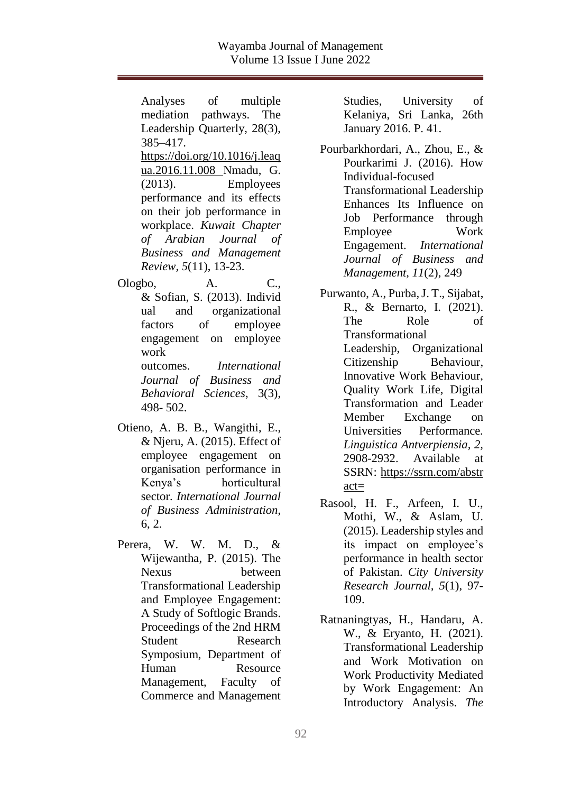Analyses of multiple mediation pathways. The Leadership Quarterly, 28(3), 385–417. [https://doi.org/10.1016/j.leaq](https://doi.org/10.1016/j.leaqua.2016.11.008) [ua.2016.11.008](https://doi.org/10.1016/j.leaqua.2016.11.008) Nmadu, G. (2013). Employees performance and its effects on their job performance in workplace. *Kuwait Chapter of Arabian Journal of Business and Management Review, 5*(11), 13-23.

Ologbo, A. C., & Sofian, S. (2013). Individ ual and organizational factors of employee engagement on employee work outcomes. *International Journal of Business and Behavioral Sciences*, 3(3), 498- 502.

- Otieno, A. B. B., Wangithi, E., & Njeru, A. (2015). Effect of employee engagement on organisation performance in Kenya's horticultural sector. *International Journal of Business Administration*, 6, 2.
- Perera, W. W. M. D., & Wijewantha, P. (2015). The Nexus between Transformational Leadership and Employee Engagement: A Study of Softlogic Brands. Proceedings of the 2nd HRM Student Research Symposium, Department of Human Resource Management, Faculty of Commerce and Management

Studies, University of Kelaniya, Sri Lanka, 26th January 2016. P. 41.

Pourbarkhordari, A., Zhou, E., & Pourkarimi J. (2016). How Individual-focused Transformational Leadership Enhances Its Influence on Job Performance through Employee Work Engagement. *International Journal of Business and Management, 11*(2), 249

- Purwanto, A., Purba, J. T., Sijabat, R., & Bernarto, I. (2021). The Role of Transformational Leadership, Organizational Citizenship Behaviour, Innovative Work Behaviour, Quality Work Life, Digital Transformation and Leader Member Exchange on Universities Performance*. Linguistica Antverpiensia, 2,* 2908-2932. Available at SSRN: [https://ssrn.com/abstr](https://ssrn.com/abstract=)  $\text{act}$
- Rasool, H. F., Arfeen, I. U., Mothi, W., & Aslam, U. (2015). Leadership styles and its impact on employee's performance in health sector of Pakistan. *City University Research Journal, 5*(1), 97- 109.
- Ratnaningtyas, H., Handaru, A. W., & Eryanto, H. (2021). Transformational Leadership and Work Motivation on Work Productivity Mediated by Work Engagement: An Introductory Analysis. *The*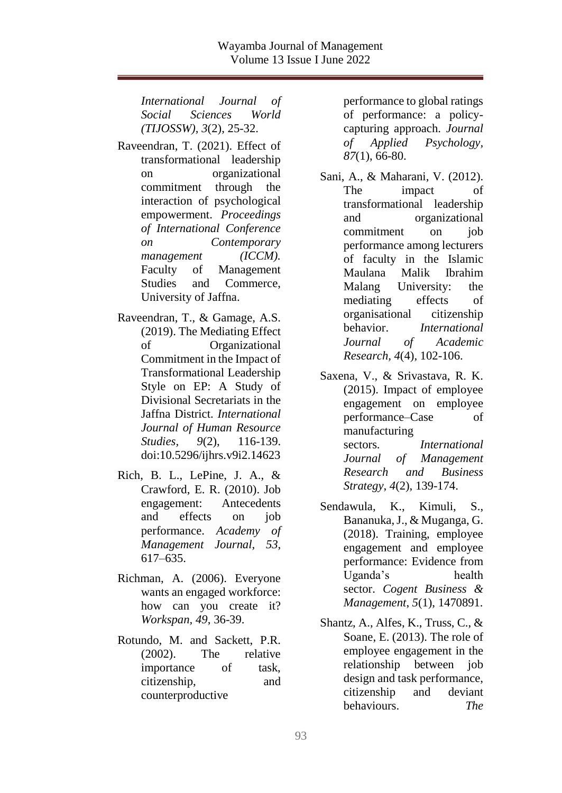*International Journal of Social Sciences World (TIJOSSW)*, *3*(2), 25-32.

- Raveendran, T. (2021). Effect of transformational leadership on organizational commitment through the interaction of psychological empowerment. *Proceedings of International Conference on Contemporary management (ICCM).* Faculty of Management Studies and Commerce, University of Jaffna.
- Raveendran, T., & Gamage, A.S. (2019). The Mediating Effect of Organizational Commitment in the Impact of Transformational Leadership Style on EP: A Study of Divisional Secretariats in the Jaffna District. *International Journal of Human Resource Studies, 9*(2), 116-139. doi:10.5296/ijhrs.v9i2.14623
- Rich, B. L., LePine, J. A., & Crawford, E. R. (2010). Job engagement: Antecedents and effects on job performance. *Academy of Management Journal, 53*, 617–635.
- Richman, A. (2006). Everyone wants an engaged workforce: how can you create it? *Workspan, 49*, 36-39.
- Rotundo, M. and Sackett, P.R. (2002). The relative importance of task, citizenship, and counterproductive

performance to global ratings of performance: a policycapturing approach. *Journal of Applied Psychology, 87*(1), 66-80.

- Sani, A., & Maharani, V. (2012). The impact of transformational leadership and organizational commitment on job performance among lecturers of faculty in the Islamic Maulana Malik Ibrahim Malang University: the mediating effects of organisational citizenship behavior. *International Journal of Academic Research, 4*(4), 102-106.
- Saxena, V., & Srivastava, R. K. (2015). Impact of employee engagement on employee performance–Case of manufacturing sectors. *International Journal of Management Research and Business Strategy*, *4*(2), 139-174.
- Sendawula, K., Kimuli, S., Bananuka, J., & Muganga, G. (2018). Training, employee engagement and employee performance: Evidence from Uganda's health sector. *Cogent Business & Management*, *5*(1), 1470891.
- Shantz, A., Alfes, K., Truss, C., & Soane, E. (2013). The role of employee engagement in the relationship between job design and task performance, citizenship and deviant behaviours. *The*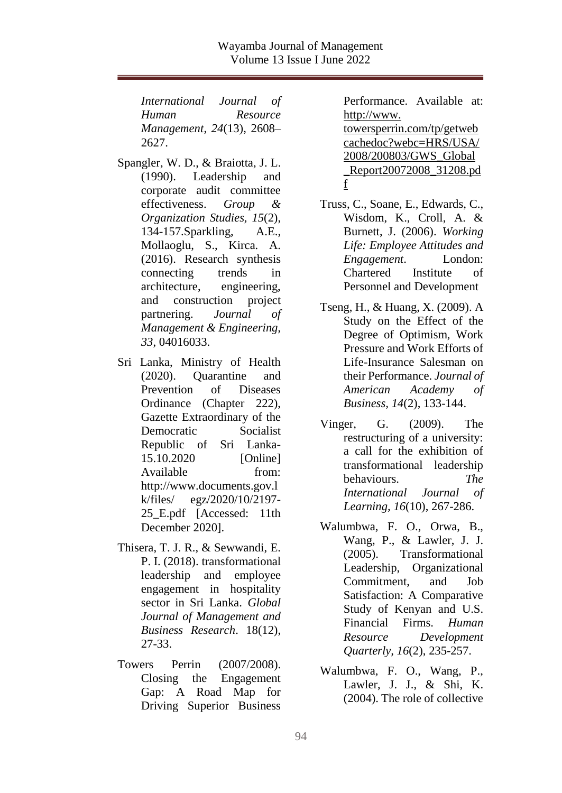*International Journal of Human Resource Management*, *24*(13), 2608– 2627.

- Spangler, W. D., & Braiotta, J. L. (1990). Leadership and corporate audit committee effectiveness. *Group & Organization Studies, 15*(2), 134-157.Sparkling, A.E., Mollaoglu, S., Kirca. A. (2016). Research synthesis connecting trends in architecture, engineering, and construction project partnering. *Journal of Management & Engineering, 33*, 04016033.
- Sri Lanka, Ministry of Health (2020). Quarantine and Prevention of Diseases Ordinance (Chapter 222), Gazette Extraordinary of the Democratic Socialist Republic of Sri Lanka-15.10.2020 [Online] Available from: http://www.documents.gov.l k/files/ egz/2020/10/2197- 25 E.pdf [Accessed: 11th December 2020].
- Thisera, T. J. R., & Sewwandi, E. P. I. (2018). transformational leadership and employee engagement in hospitality sector in Sri Lanka. *Global Journal of Management and Business Research*. 18(12), 27-33.
- Towers Perrin (2007/2008). Closing the Engagement Gap: A Road Map for Driving Superior Business

Performance. Available at: http://www. towersperrin.com/tp/getweb cachedoc?webc=HRS/USA/ 2008/200803/GWS\_Global \_Report20072008\_31208.pd f

- Truss, C., Soane, E., Edwards, C., Wisdom, K., Croll, A. & Burnett, J. (2006). *Working Life: Employee Attitudes and Engagement*. London: Chartered Institute of Personnel and Development
- Tseng, H., & Huang, X. (2009). A Study on the Effect of the Degree of Optimism, Work Pressure and Work Efforts of Life-Insurance Salesman on their Performance. *Journal of American Academy of Business, 14*(2), 133-144.
- Vinger, G. (2009). The restructuring of a university: a call for the exhibition of transformational leadership behaviours. *The International Journal of Learning, 16*(10), 267-286.
- Walumbwa, F. O., Orwa, B., Wang, P., & Lawler, J. J. (2005). Transformational Leadership, Organizational Commitment, and Job Satisfaction: A Comparative Study of Kenyan and U.S. Financial Firms. *Human Resource Development Quarterly, 16*(2), 235-257.
- Walumbwa, F. O., Wang, P., Lawler, J. J., & Shi, K. (2004). The role of collective